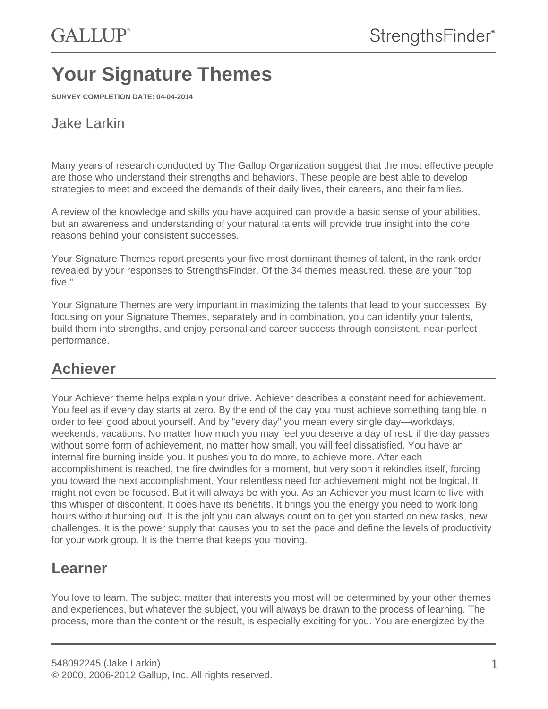# **Your Signature Themes**

**SURVEY COMPLETION DATE: 04-04-2014**

#### Jake Larkin

Many years of research conducted by The Gallup Organization suggest that the most effective people are those who understand their strengths and behaviors. These people are best able to develop strategies to meet and exceed the demands of their daily lives, their careers, and their families.

A review of the knowledge and skills you have acquired can provide a basic sense of your abilities, but an awareness and understanding of your natural talents will provide true insight into the core reasons behind your consistent successes.

Your Signature Themes report presents your five most dominant themes of talent, in the rank order revealed by your responses to StrengthsFinder. Of the 34 themes measured, these are your "top five."

Your Signature Themes are very important in maximizing the talents that lead to your successes. By focusing on your Signature Themes, separately and in combination, you can identify your talents, build them into strengths, and enjoy personal and career success through consistent, near-perfect performance.

### **Achiever**

Your Achiever theme helps explain your drive. Achiever describes a constant need for achievement. You feel as if every day starts at zero. By the end of the day you must achieve something tangible in order to feel good about yourself. And by "every day" you mean every single day—workdays, weekends, vacations. No matter how much you may feel you deserve a day of rest, if the day passes without some form of achievement, no matter how small, you will feel dissatisfied. You have an internal fire burning inside you. It pushes you to do more, to achieve more. After each accomplishment is reached, the fire dwindles for a moment, but very soon it rekindles itself, forcing you toward the next accomplishment. Your relentless need for achievement might not be logical. It might not even be focused. But it will always be with you. As an Achiever you must learn to live with this whisper of discontent. It does have its benefits. It brings you the energy you need to work long hours without burning out. It is the jolt you can always count on to get you started on new tasks, new challenges. It is the power supply that causes you to set the pace and define the levels of productivity for your work group. It is the theme that keeps you moving.

#### **Learner**

You love to learn. The subject matter that interests you most will be determined by your other themes and experiences, but whatever the subject, you will always be drawn to the process of learning. The process, more than the content or the result, is especially exciting for you. You are energized by the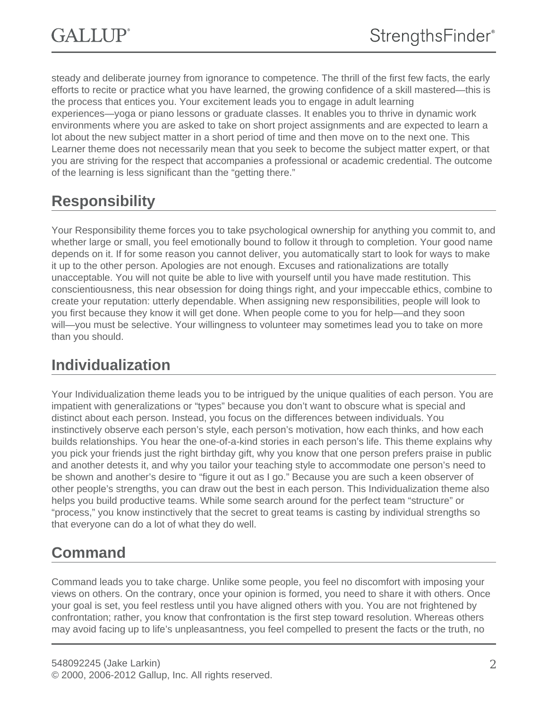steady and deliberate journey from ignorance to competence. The thrill of the first few facts, the early efforts to recite or practice what you have learned, the growing confidence of a skill mastered—this is the process that entices you. Your excitement leads you to engage in adult learning experiences—yoga or piano lessons or graduate classes. It enables you to thrive in dynamic work environments where you are asked to take on short project assignments and are expected to learn a lot about the new subject matter in a short period of time and then move on to the next one. This Learner theme does not necessarily mean that you seek to become the subject matter expert, or that you are striving for the respect that accompanies a professional or academic credential. The outcome of the learning is less significant than the "getting there."

## **Responsibility**

Your Responsibility theme forces you to take psychological ownership for anything you commit to, and whether large or small, you feel emotionally bound to follow it through to completion. Your good name depends on it. If for some reason you cannot deliver, you automatically start to look for ways to make it up to the other person. Apologies are not enough. Excuses and rationalizations are totally unacceptable. You will not quite be able to live with yourself until you have made restitution. This conscientiousness, this near obsession for doing things right, and your impeccable ethics, combine to create your reputation: utterly dependable. When assigning new responsibilities, people will look to you first because they know it will get done. When people come to you for help—and they soon will—you must be selective. Your willingness to volunteer may sometimes lead you to take on more than you should.

## **Individualization**

Your Individualization theme leads you to be intrigued by the unique qualities of each person. You are impatient with generalizations or "types" because you don't want to obscure what is special and distinct about each person. Instead, you focus on the differences between individuals. You instinctively observe each person's style, each person's motivation, how each thinks, and how each builds relationships. You hear the one-of-a-kind stories in each person's life. This theme explains why you pick your friends just the right birthday gift, why you know that one person prefers praise in public and another detests it, and why you tailor your teaching style to accommodate one person's need to be shown and another's desire to "figure it out as I go." Because you are such a keen observer of other people's strengths, you can draw out the best in each person. This Individualization theme also helps you build productive teams. While some search around for the perfect team "structure" or "process," you know instinctively that the secret to great teams is casting by individual strengths so that everyone can do a lot of what they do well.

## **Command**

Command leads you to take charge. Unlike some people, you feel no discomfort with imposing your views on others. On the contrary, once your opinion is formed, you need to share it with others. Once your goal is set, you feel restless until you have aligned others with you. You are not frightened by confrontation; rather, you know that confrontation is the first step toward resolution. Whereas others may avoid facing up to life's unpleasantness, you feel compelled to present the facts or the truth, no